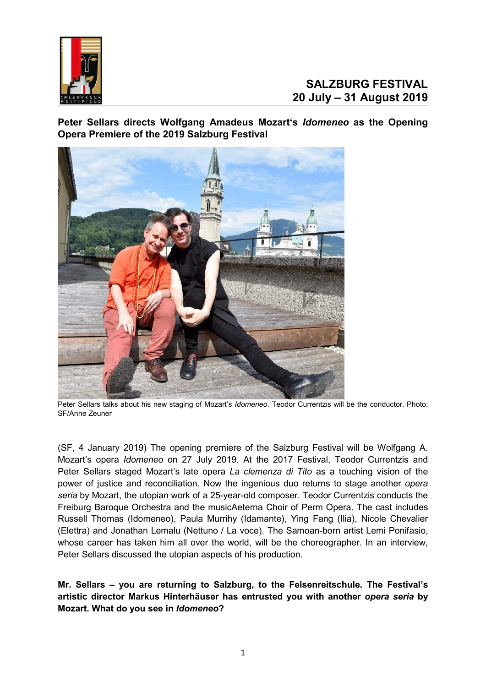

**Peter Sellars directs Wolfgang Amadeus Mozart's** *Idomeneo* **as the Opening Opera Premiere of the 2019 Salzburg Festival**



Peter Sellars talks about his new staging of Mozart's *Idomeneo*. Teodor Currentzis will be the conductor. Photo: SF/Anne Zeuner

(SF, 4 January 2019) The opening premiere of the Salzburg Festival will be Wolfgang A. Mozart's opera *Idomeneo* on 27 July 2019. At the 2017 Festival, Teodor Currentzis and Peter Sellars staged Mozart's late opera *La clemenza di Tito* as a touching vision of the power of justice and reconciliation. Now the ingenious duo returns to stage another *opera seria* by Mozart, the utopian work of a 25-year-old composer. Teodor Currentzis conducts the Freiburg Baroque Orchestra and the musicAeterna Choir of Perm Opera. The cast includes Russell Thomas (Idomeneo), Paula Murrihy (Idamante), Ying Fang (Ilia), Nicole Chevalier (Elettra) and Jonathan Lemalu (Nettuno / La voce). The Samoan-born artist Lemi Ponifasio, whose career has taken him all over the world, will be the choreographer. In an interview, Peter Sellars discussed the utopian aspects of his production.

**Mr. Sellars – you are returning to Salzburg, to the Felsenreitschule. The Festival's artistic director Markus Hinterhäuser has entrusted you with another** *opera seria* **by Mozart. What do you see in** *Idomeneo***?**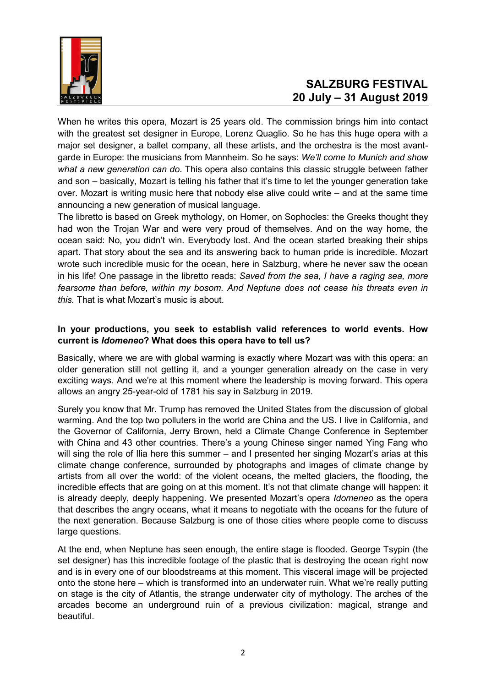

## **SALZBURG FESTIVAL 20 July – 31 August 2019**

When he writes this opera, Mozart is 25 years old. The commission brings him into contact with the greatest set designer in Europe, Lorenz Quaglio. So he has this huge opera with a major set designer, a ballet company, all these artists, and the orchestra is the most avantgarde in Europe: the musicians from Mannheim. So he says: *We'll come to Munich and show what a new generation can do*. This opera also contains this classic struggle between father and son – basically, Mozart is telling his father that it's time to let the younger generation take over. Mozart is writing music here that nobody else alive could write – and at the same time announcing a new generation of musical language.

The libretto is based on Greek mythology, on Homer, on Sophocles: the Greeks thought they had won the Trojan War and were very proud of themselves. And on the way home, the ocean said: No, you didn't win. Everybody lost. And the ocean started breaking their ships apart. That story about the sea and its answering back to human pride is incredible. Mozart wrote such incredible music for the ocean, here in Salzburg, where he never saw the ocean in his life! One passage in the libretto reads: *Saved from the sea, I have a raging sea, more fearsome than before, within my bosom. And Neptune does not cease his threats even in this.* That is what Mozart's music is about.

#### **In your productions, you seek to establish valid references to world events. How current is** *Idomeneo***? What does this opera have to tell us?**

Basically, where we are with global warming is exactly where Mozart was with this opera: an older generation still not getting it, and a younger generation already on the case in very exciting ways. And we're at this moment where the leadership is moving forward. This opera allows an angry 25-year-old of 1781 his say in Salzburg in 2019.

Surely you know that Mr. Trump has removed the United States from the discussion of global warming. And the top two polluters in the world are China and the US. I live in California, and the Governor of California, Jerry Brown, held a Climate Change Conference in September with China and 43 other countries. There's a young Chinese singer named Ying Fang who will sing the role of Ilia here this summer – and I presented her singing Mozart's arias at this climate change conference, surrounded by photographs and images of climate change by artists from all over the world: of the violent oceans, the melted glaciers, the flooding, the incredible effects that are going on at this moment. It's not that climate change will happen: it is already deeply, deeply happening. We presented Mozart's opera *Idomeneo* as the opera that describes the angry oceans, what it means to negotiate with the oceans for the future of the next generation. Because Salzburg is one of those cities where people come to discuss large questions.

At the end, when Neptune has seen enough, the entire stage is flooded. George Tsypin (the set designer) has this incredible footage of the plastic that is destroying the ocean right now and is in every one of our bloodstreams at this moment. This visceral image will be projected onto the stone here – which is transformed into an underwater ruin. What we're really putting on stage is the city of Atlantis, the strange underwater city of mythology. The arches of the arcades become an underground ruin of a previous civilization: magical, strange and beautiful.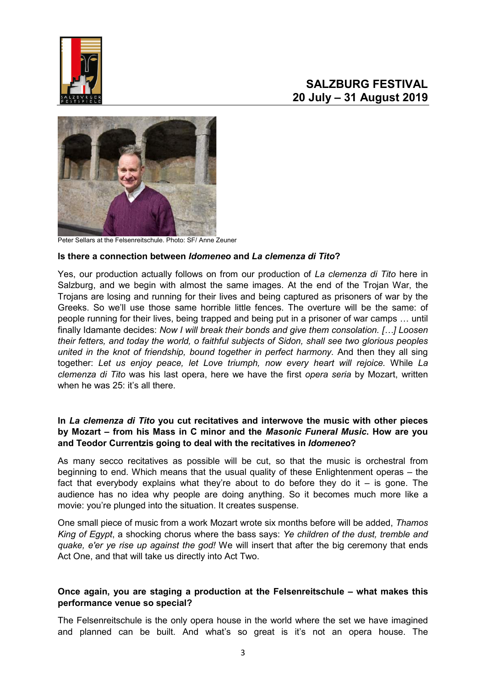



Peter Sellars at the Felsenreitschule. Photo: SF/ Anne Zeuner

#### **Is there a connection between** *Idomeneo* **and** *La clemenza di Tito***?**

Yes, our production actually follows on from our production of *La clemenza di Tito* here in Salzburg, and we begin with almost the same images. At the end of the Trojan War, the Trojans are losing and running for their lives and being captured as prisoners of war by the Greeks. So we'll use those same horrible little fences. The overture will be the same: of people running for their lives, being trapped and being put in a prisoner of war camps … until finally Idamante decides: *Now I will break their bonds and give them consolation. […] Loosen their fetters, and today the world, o faithful subjects of Sidon, shall see two glorious peoples united in the knot of friendship, bound together in perfect harmony.* And then they all sing together: *Let us enjoy peace, let Love triumph, now every heart will rejoice.* While *La clemenza di Tito* was his last opera, here we have the first *opera seria* by Mozart, written when he was  $25$  it's all there.

#### **In** *La clemenza di Tito* **you cut recitatives and interwove the music with other pieces by Mozart – from his Mass in C minor and the** *Masonic Funeral Music***. How are you and Teodor Currentzis going to deal with the recitatives in** *Idomeneo***?**

As many secco recitatives as possible will be cut, so that the music is orchestral from beginning to end. Which means that the usual quality of these Enlightenment operas – the fact that everybody explains what they're about to do before they do it  $-$  is gone. The audience has no idea why people are doing anything. So it becomes much more like a movie: you're plunged into the situation. It creates suspense.

One small piece of music from a work Mozart wrote six months before will be added, *Thamos King of Egypt*, a shocking chorus where the bass says: *Ye children of the dust, tremble and quake, e'er ye rise up against the god!* We will insert that after the big ceremony that ends Act One, and that will take us directly into Act Two.

#### **Once again, you are staging a production at the Felsenreitschule – what makes this performance venue so special?**

The Felsenreitschule is the only opera house in the world where the set we have imagined and planned can be built. And what's so great is it's not an opera house. The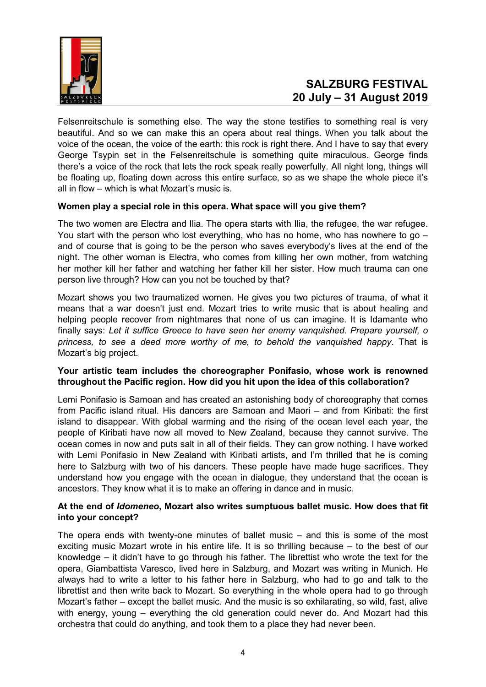

## **SALZBURG FESTIVAL 20 July – 31 August 2019**

Felsenreitschule is something else. The way the stone testifies to something real is very beautiful. And so we can make this an opera about real things. When you talk about the voice of the ocean, the voice of the earth: this rock is right there. And I have to say that every George Tsypin set in the Felsenreitschule is something quite miraculous. George finds there's a voice of the rock that lets the rock speak really powerfully. All night long, things will be floating up, floating down across this entire surface, so as we shape the whole piece it's all in flow – which is what Mozart's music is.

#### **Women play a special role in this opera. What space will you give them?**

The two women are Electra and Ilia. The opera starts with Ilia, the refugee, the war refugee. You start with the person who lost everything, who has no home, who has nowhere to go – and of course that is going to be the person who saves everybody's lives at the end of the night. The other woman is Electra, who comes from killing her own mother, from watching her mother kill her father and watching her father kill her sister. How much trauma can one person live through? How can you not be touched by that?

Mozart shows you two traumatized women. He gives you two pictures of trauma, of what it means that a war doesn't just end. Mozart tries to write music that is about healing and helping people recover from nightmares that none of us can imagine. It is Idamante who finally says: *Let it suffice Greece to have seen her enemy vanquished. Prepare yourself, o princess, to see a deed more worthy of me, to behold the vanquished happy*. That is Mozart's big project.

#### **Your artistic team includes the choreographer Ponifasio, whose work is renowned throughout the Pacific region. How did you hit upon the idea of this collaboration?**

Lemi Ponifasio is Samoan and has created an astonishing body of choreography that comes from Pacific island ritual. His dancers are Samoan and Maori – and from Kiribati: the first island to disappear. With global warming and the rising of the ocean level each year, the people of Kiribati have now all moved to New Zealand, because they cannot survive. The ocean comes in now and puts salt in all of their fields. They can grow nothing. I have worked with Lemi Ponifasio in New Zealand with Kiribati artists, and I'm thrilled that he is coming here to Salzburg with two of his dancers. These people have made huge sacrifices. They understand how you engage with the ocean in dialogue, they understand that the ocean is ancestors. They know what it is to make an offering in dance and in music.

#### **At the end of** *Idomeneo***, Mozart also writes sumptuous ballet music. How does that fit into your concept?**

The opera ends with twenty-one minutes of ballet music – and this is some of the most exciting music Mozart wrote in his entire life. It is so thrilling because – to the best of our knowledge – it didn't have to go through his father. The librettist who wrote the text for the opera, Giambattista Varesco, lived here in Salzburg, and Mozart was writing in Munich. He always had to write a letter to his father here in Salzburg, who had to go and talk to the librettist and then write back to Mozart. So everything in the whole opera had to go through Mozart's father – except the ballet music. And the music is so exhilarating, so wild, fast, alive with energy, young – everything the old generation could never do. And Mozart had this orchestra that could do anything, and took them to a place they had never been.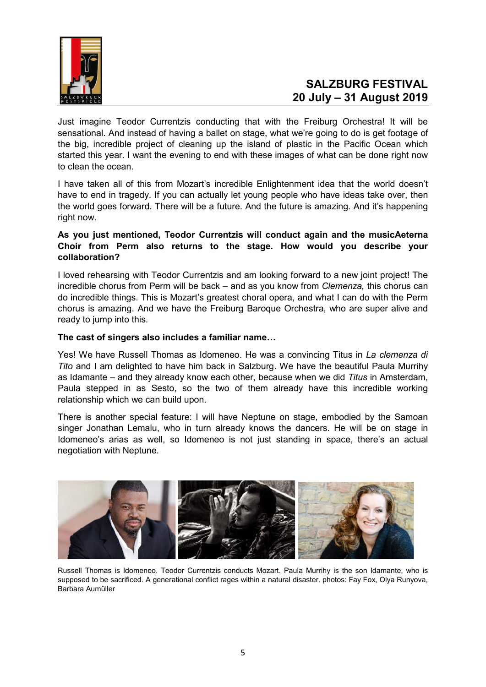

Just imagine Teodor Currentzis conducting that with the Freiburg Orchestra! It will be sensational. And instead of having a ballet on stage, what we're going to do is get footage of the big, incredible project of cleaning up the island of plastic in the Pacific Ocean which started this year. I want the evening to end with these images of what can be done right now to clean the ocean.

I have taken all of this from Mozart's incredible Enlightenment idea that the world doesn't have to end in tragedy. If you can actually let young people who have ideas take over, then the world goes forward. There will be a future. And the future is amazing. And it's happening right now.

#### **As you just mentioned, Teodor Currentzis will conduct again and the musicAeterna Choir from Perm also returns to the stage. How would you describe your collaboration?**

I loved rehearsing with Teodor Currentzis and am looking forward to a new joint project! The incredible chorus from Perm will be back – and as you know from *Clemenza,* this chorus can do incredible things. This is Mozart's greatest choral opera, and what I can do with the Perm chorus is amazing. And we have the Freiburg Baroque Orchestra, who are super alive and ready to jump into this.

#### **The cast of singers also includes a familiar name…**

Yes! We have Russell Thomas as Idomeneo. He was a convincing Titus in *La clemenza di Tito* and I am delighted to have him back in Salzburg. We have the beautiful Paula Murrihy as Idamante – and they already know each other, because when we did *Titus* in Amsterdam, Paula stepped in as Sesto, so the two of them already have this incredible working relationship which we can build upon.

There is another special feature: I will have Neptune on stage, embodied by the Samoan singer Jonathan Lemalu, who in turn already knows the dancers. He will be on stage in Idomeneo's arias as well, so Idomeneo is not just standing in space, there's an actual negotiation with Neptune.



Russell Thomas is Idomeneo. Teodor Currentzis conducts Mozart. Paula Murrihy is the son Idamante, who is supposed to be sacrificed. A generational conflict rages within a natural disaster. photos: Fay Fox, Olya Runyova, Barbara Aumüller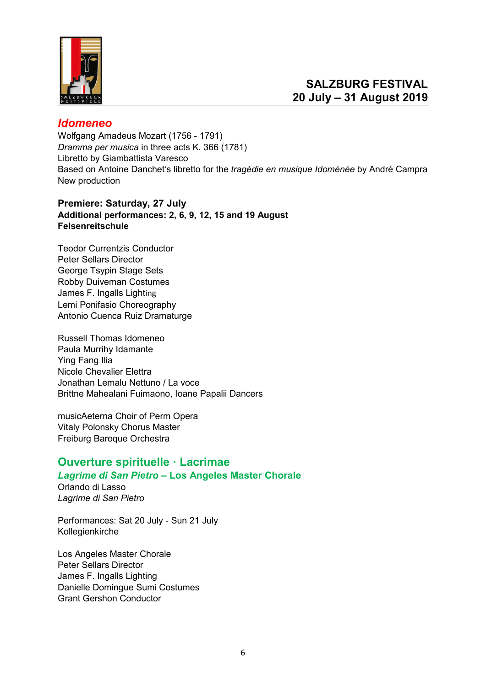

## *Idomeneo*

Wolfgang Amadeus Mozart (1756 - 1791) *Dramma per musica* in three acts K. 366 (1781) Libretto by Giambattista Varesco Based on Antoine Danchet's libretto for the *tragédie en musique Idoménée* by André Campra New production

### **Premiere: Saturday, 27 July Additional performances: 2, 6, 9, 12, 15 and 19 August [Felsenreitschule](https://www.salzburgerfestspiele.at/l/felsenreitschule)**

[Teodor Currentzis Conductor](https://www.salzburgerfestspiele.at/a/teodor-currentzis) [Peter Sellars Director](https://www.salzburgerfestspiele.at/a/peter-sellars) [George Tsypin Stage Sets](https://www.salzburgerfestspiele.at/a/george-tsypin) [Robby Duiveman Costumes](https://www.salzburgerfestspiele.at/a/robby-duiveman) [James F. Ingalls Light](https://www.salzburgerfestspiele.at/a/james-f-ingalls)ing Lemi Ponifasio Choreography [Antonio Cuenca Ruiz Dramaturge](https://www.salzburgerfestspiele.at/a/antonio-cuenca-ruiz)

[Russell Thomas Idomeneo](https://www.salzburgerfestspiele.at/a/russell-thomas) [Paula Murrihy Idamante](https://www.salzburgerfestspiele.at/a/paula-murrihy) Ying Fang Ilia Nicole Chevalier Elettra Jonathan Lemalu Nettuno / La voce Brittne Mahealani Fuimaono, Ioane Papalii Dancers

[musicAeterna Choir of Perm Opera](https://www.salzburgerfestspiele.at/a/musicaeterna-choir)  [Vitaly Polonsky Chorus Master](https://www.salzburgerfestspiele.at/a/vitaly-polonsky)  [Freiburg Baroque Orchestra](https://www.salzburgerfestspiele.at/a/freiburger-barockorchester)

## **Ouverture spirituelle · Lacrimae**

### *Lagrime di San Pietro* **– Los Angeles Master Chorale**

Orlando di Lasso *Lagrime di San Pietro*

Performances: Sat 20 July - Sun 21 July [Kollegienkirche](https://www.salzburgerfestspiele.at/en/l/kollegienkirche)

Los Angeles Master Chorale [Peter Sellars Director](https://www.salzburgerfestspiele.at/en/a/peter-sellars) [James F. Ingalls Lighting](https://www.salzburgerfestspiele.at/en/a/james-f-ingalls) Danielle Domingue Sumi Costumes Grant Gershon Conductor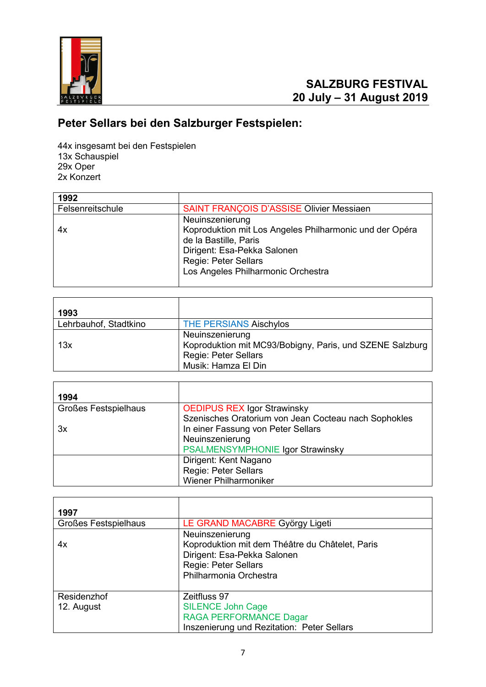

# **Peter Sellars bei den Salzburger Festspielen:**

44x insgesamt bei den Festspielen 13x Schauspiel 29x Oper 2x Konzert

| 1992             |                                                         |
|------------------|---------------------------------------------------------|
| Felsenreitschule | <b>SAINT FRANÇOIS D'ASSISE Olivier Messiaen</b>         |
|                  | Neuinszenierung                                         |
| 4х               | Koproduktion mit Los Angeles Philharmonic und der Opéra |
|                  | de la Bastille, Paris                                   |
|                  | Dirigent: Esa-Pekka Salonen                             |
|                  | <b>Regie: Peter Sellars</b>                             |
|                  | Los Angeles Philharmonic Orchestra                      |
|                  |                                                         |

| 1993                  |                                                                                                                                   |
|-----------------------|-----------------------------------------------------------------------------------------------------------------------------------|
| Lehrbauhof, Stadtkino | <b>THE PERSIANS Aischylos</b>                                                                                                     |
| 13x                   | Neuinszenierung<br>Koproduktion mit MC93/Bobigny, Paris, und SZENE Salzburg<br><b>Regie: Peter Sellars</b><br>Musik: Hamza El Din |

| 1994                        |                                                      |
|-----------------------------|------------------------------------------------------|
| <b>Großes Festspielhaus</b> | <b>OEDIPUS REX Igor Strawinsky</b>                   |
|                             | Szenisches Oratorium von Jean Cocteau nach Sophokles |
| 3x                          | In einer Fassung von Peter Sellars                   |
|                             | Neuinszenierung                                      |
|                             | PSALMENSYMPHONIE Igor Strawinsky                     |
|                             | Dirigent: Kent Nagano                                |
|                             | <b>Regie: Peter Sellars</b>                          |
|                             | <b>Wiener Philharmoniker</b>                         |

| 1997                        |                                                                                                                                                     |
|-----------------------------|-----------------------------------------------------------------------------------------------------------------------------------------------------|
| <b>Großes Festspielhaus</b> | LE GRAND MACABRE György Ligeti                                                                                                                      |
| 4x                          | Neuinszenierung<br>Koproduktion mit dem Théâtre du Châtelet, Paris<br>Dirigent: Esa-Pekka Salonen<br>Regie: Peter Sellars<br>Philharmonia Orchestra |
| Residenzhof<br>12. August   | Zeitfluss 97<br><b>SILENCE John Cage</b><br><b>RAGA PERFORMANCE Dagar</b><br>Inszenierung und Rezitation: Peter Sellars                             |